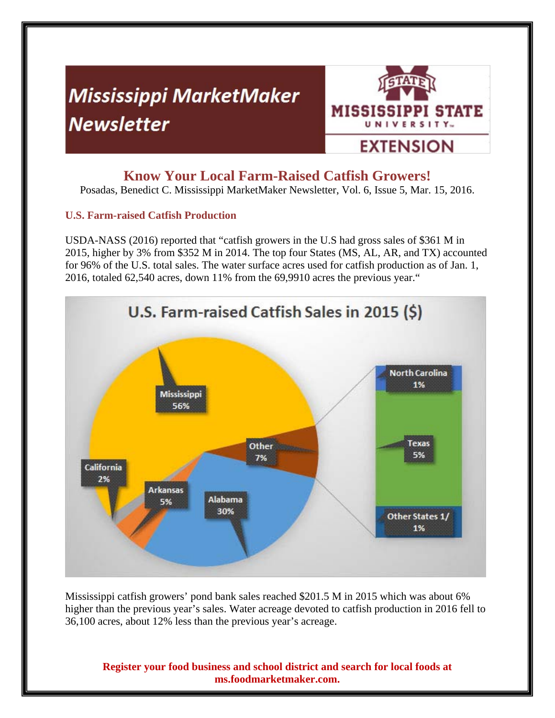# **Mississippi MarketMaker Newsletter**



## **Know Your Local Farm-Raised Catfish Growers!**

Posadas, Benedict C. Mississippi MarketMaker Newsletter, Vol. 6, Issue 5, Mar. 15, 2016.

### **U.S. Farm-raised Catfish Production**

USDA-NASS (2016) reported that "catfish growers in the U.S had gross sales of \$361 M in 2015, higher by 3% from \$352 M in 2014. The top four States (MS, AL, AR, and TX) accounted for 96% of the U.S. total sales. The water surface acres used for catfish production as of Jan. 1, 2016, totaled 62,540 acres, down 11% from the 69,9910 acres the previous year."



Mississippi catfish growers' pond bank sales reached \$201.5 M in 2015 which was about 6% higher than the previous year's sales. Water acreage devoted to catfish production in 2016 fell to 36,100 acres, about 12% less than the previous year's acreage.

**Register your food business and school district and search for local foods at ms.foodmarketmaker.com.**